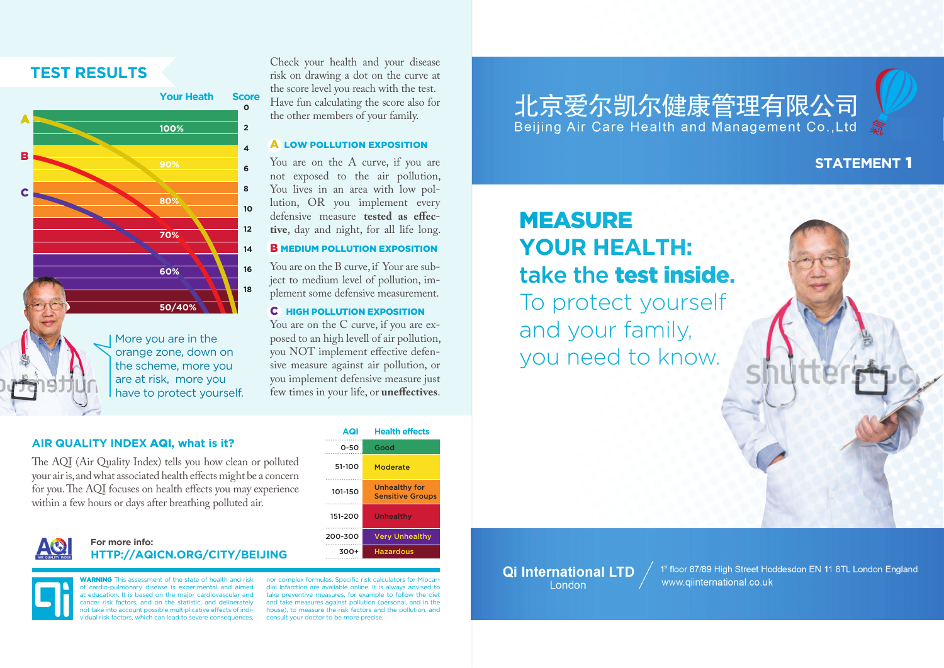### **Test results**



Check your health and your disease risk on drawing a dot on the curve at the score level you reach with the test. Have fun calculating the score also for the other members of your family.

#### **A LOW POLLUTION EXPOSITION**

You are on the A curve, if you are not exposed to the air pollution, You lives in an area with low pollution, OR you implement every defensive measure **tested as effective**, day and night, for all life long.

#### **B** MEDIUM POLLUTION EXPOSITION

You are on the B curve, if Your are subject to medium level of pollution, implement some defensive measurement.

### C HIgh POLLUTION exposition

You are on the C curve, if you are exposed to an high levell of air pollution, you NOT implement effective defensive measure against air pollution, or you implement defensive measure just few times in your life, or **uneffectives**.

# 北京爱尔凯尔健康管理有限公司 Beijing Air Care Health and Management Co., Ltd

## **STATEMENT 1**

# MEASURE **YOUR HEALTH:**  take the test inside**.**

To protect yourself and your family, you need to know.

#### **air quality index** AQI**, what is it?**

The AQI (Air Quality Index) tells you how clean or polluted your air is, and what associated health effects might be a concern for you. The AQI focuses on health effects you may experience within a few hours or days after breathing polluted air.

### **For more info: http://aqicn.org/city/beijing**

**WARNING** This assessment of the state of health and risk of cardio-pulmonary disease is experimental and aimed at education. It is based on the major cardiovascular and cancer risk factors, and on the statistic, and deliberately not take into account possible multiplicative effects of indiidual risk factors, which can lead to severe consequences.

**AQI Health effects** 0-50 51-100 101-150 151-200 200-300 300+ Good Moderate Unhealthy for Sensitive Groups Unhealthy Very Unhealthy Hazardous

nor complex formulas. Specific risk calculators for Mioca dial Infarction are available online. It is always advised to take preventive measures, for example to follow the diet and take measures against pollution (personal, and in the house), to measure the risk factors and the pollution, and consult your doctor to be more precise.

**Qi International LTD** London

1st floor 87/89 High Street Hoddesdon EN 11 8TL London England www.giinternational.co.uk